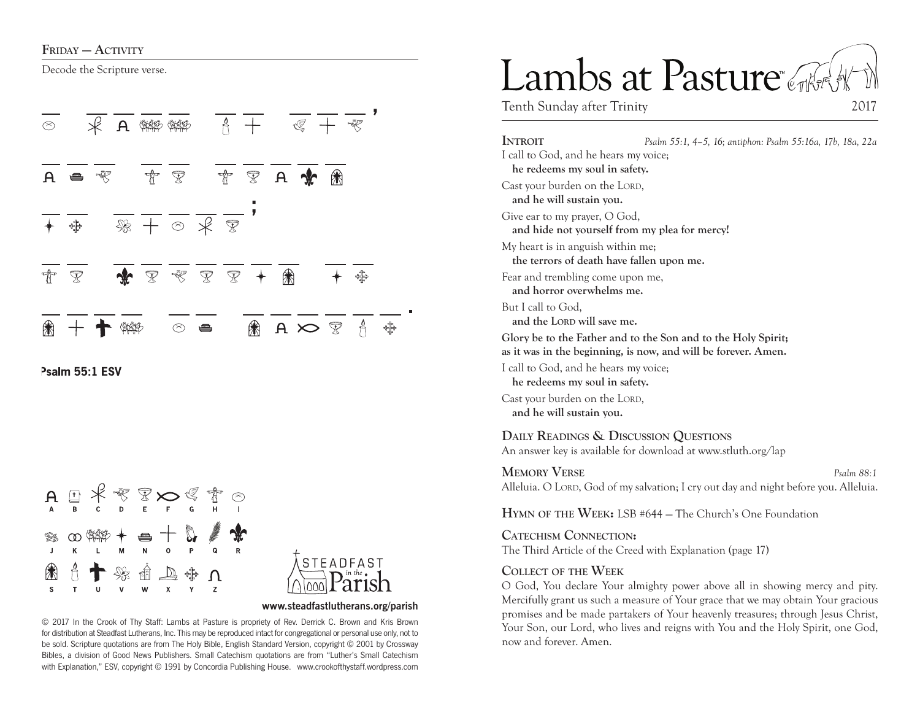Decode the Scripture verse.



Psalm 55:1 ESV





#### **www.steadfastlutherans.org/parish**

© 2017 In the Crook of Thy Staff: Lambs at Pasture is propriety of Rev. Derrick C. Brown and Kris Brown for distribution at Steadfast Lutherans, Inc. This may be reproduced intact for congregational or personal use only, not to be sold. Scripture quotations are from The Holy Bible, English Standard Version, copyright © 2001 by Crossway Bibles, a division of Good News Publishers. Small Catechism quotations are from "Luther's Small Catechism with Explanation," ESV, copyright © 1991 by Concordia Publishing House. www.crookofthystaff.wordpress.com

# Lambs at Pasture

Tenth Sunday after Trinity 2017

**Introit** *Psalm 55:1, 4–5, 16; antiphon: Psalm 55:16a, 17b, 18a, 22a* I call to God, and he hears my voice; **he redeems my soul in safety.**  Cast your burden on the LORD, **and he will sustain you.**  Give ear to my prayer, O God, **and hide not yourself from my plea for mercy!**  My heart is in anguish within me; **the terrors of death have fallen upon me.**  Fear and trembling come upon me, **and horror overwhelms me.**  But I call to God, and the LORD will save me. **Glory be to the Father and to the Son and to the Holy Spirit; as it was in the beginning, is now, and will be forever. Amen.** I call to God, and he hears my voice; **he redeems my soul in safety.**  Cast your burden on the LORD. **and he will sustain you. Daily Readings & Discussion Questions** An answer key is available for download at www.stluth.org/lap

**Memory Verse** *Psalm 88:1*

Alleluia. O LORD, God of my salvation; I cry out day and night before you. Alleluia.

**Hymn of the Week:** LSB #644 — The Church's One Foundation

**Catechism Connection:** The Third Article of the Creed with Explanation (page 17)

#### **Collect of the Week**

O God, You declare Your almighty power above all in showing mercy and pity. Mercifully grant us such a measure of Your grace that we may obtain Your gracious promises and be made partakers of Your heavenly treasures; through Jesus Christ, Your Son, our Lord, who lives and reigns with You and the Holy Spirit, one God, now and forever. Amen.